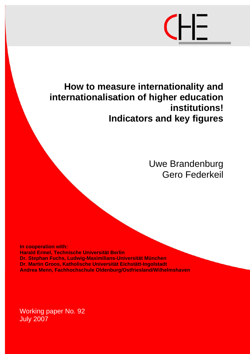# 

# **How to measure internationality and internationalisation of higher education institutions! Indicators and key figures**

Uwe Brandenburg Gero Federkeil

**In cooperation with: Harald Ermel, Technische Universität Berlin Dr. Stephan Fuchs, Ludwig-Maximilians-Universität München Dr. Martin Groos, Katholische Universität Eichstätt-Ingolstadt Andrea Menn, Fachhochschule Oldenburg/Ostfriesland/Wilhelmshaven**

Working paper No. 92 July 2007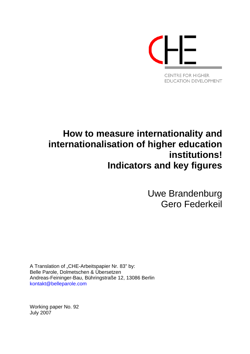

# **How to measure internationality and internationalisation of higher education institutions! Indicators and key figures**

Uwe Brandenburg Gero Federkeil

A Translation of "CHE-Arbeitspapier Nr. 83" by: Belle Parole, Dolmetschen & Übersetzen Andreas-Feininger-Bau, Bühringstraße 12, 13086 Berlin [kontakt@belleparole.com](mailto:kontakt@belleparole.com)

Working paper No. 92 July 2007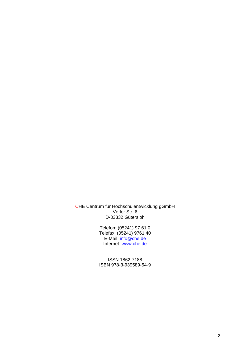CHE Centrum für Hochschulentwicklung gGmbH Verler Str. 6 D-33332 Gütersloh

> Telefon: (05241) 97 61 0 Telefax: (05241) 9761 40 E-Mail: [info@che.de](mailto:info@che.de) Internet: [www.che.de](http://www.che.de/)

ISSN 1862-7188 ISBN 978-3-939589-54-9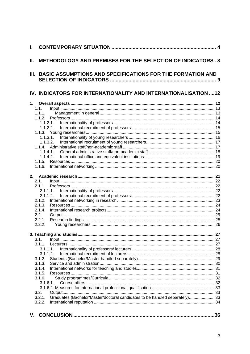| I.   |                                                                                       |     |
|------|---------------------------------------------------------------------------------------|-----|
| Ш.   | <b>METHODOLOGY AND PREMISES FOR THE SELECTION OF INDICATORS, 8</b>                    |     |
| III. | <b>BASIC ASSUMPTIONS AND SPECIFICATIONS FOR THE FORMATION AND</b>                     |     |
|      | IV. INDICATORS FOR INTERNATIONALITY AND INTERNATIONALISATION  12                      |     |
| 1.   |                                                                                       |     |
|      | 1.1.                                                                                  |     |
|      | 1.1.1.                                                                                |     |
|      | 1.1.2.                                                                                |     |
|      | 1.1.2.1.<br>1.1.2.2.                                                                  |     |
|      |                                                                                       |     |
|      | 1.1.3.1.                                                                              |     |
|      | 1.1.3.2.                                                                              |     |
|      |                                                                                       |     |
|      | 1.1.4.1.                                                                              |     |
|      | 1.1.4.2.                                                                              |     |
|      | 1.1.5.                                                                                |     |
|      | 1.1.6.                                                                                |     |
|      |                                                                                       |     |
|      | 2.1.                                                                                  |     |
|      | 2.1.1.                                                                                |     |
|      | 2.1.1.1.                                                                              |     |
|      | 2.1.1.2.                                                                              |     |
|      | 2.1.2.                                                                                |     |
|      | 2.1.3.                                                                                |     |
|      | 2.1.4.                                                                                |     |
|      | 2.2.                                                                                  |     |
|      | 2.2.1.                                                                                |     |
|      | 2.2.2.                                                                                |     |
|      |                                                                                       |     |
|      | 3.1.                                                                                  |     |
|      | 3.1.1.                                                                                |     |
|      | 3.1.1.1.                                                                              |     |
|      | 3.1.1.2.                                                                              |     |
|      | 3.1.2.                                                                                |     |
|      | 3.1.3.                                                                                |     |
|      | 3.1.4.<br>3.1.5.                                                                      |     |
|      | 3.1.6.                                                                                |     |
|      | 3.1.6.1.                                                                              |     |
|      |                                                                                       |     |
|      | 3.2.                                                                                  |     |
|      | Graduates (Bachelor/Master/doctoral candidates to be handled separately) 33<br>3.2.1. |     |
|      | 3.2.2.                                                                                |     |
|      |                                                                                       |     |
|      |                                                                                       | .36 |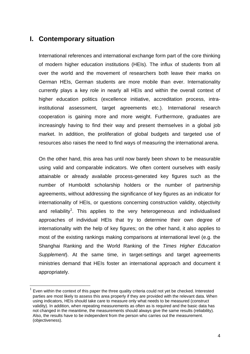### <span id="page-4-0"></span>**I. Contemporary situation**

 $\overline{a}$ 

International references and international exchange form part of the core thinking of modern higher education institutions (HEIs). The influx of students from all over the world and the movement of researchers both leave their marks on German HEIs, German students are more mobile than ever. Internationality currently plays a key role in nearly all HEIs and within the overall context of higher education politics (excellence initiative, accreditation process, intrainstitutional assessment, target agreements etc.). International research cooperation is gaining more and more weight. Furthermore, graduates are increasingly having to find their way and present themselves in a global job market. In addition, the proliferation of global budgets and targeted use of resources also raises the need to find ways of measuring the international arena.

On the other hand, this area has until now barely been shown to be measurable using valid and comparable indicators. We often content ourselves with easily attainable or already available process-generated key figures such as the number of Humboldt scholarship holders or the number of partnership agreements, without addressing the significance of key figures as an indicator for internationality of HEIs, or questions concerning construction validity, objectivity and reliability<sup>1</sup>. This applies to the very heterogeneous and individualised approaches [of](#page-4-1) individual HEIs that try to determine their own degree of internationality with the help of key figures; on the other hand, it also applies to most of the existing rankings making comparisons at international level (e.g. the Shanghai Ranking and the World Ranking of the *Times Higher Education Supplement*). At the same time, in target-settings and target agreements ministries demand that HEIs foster an international approach and document it appropriately.

<span id="page-4-1"></span> $1$  Even within the context of this paper the three quality criteria could not yet be checked. Interested parties are most likely to assess this area properly if they are provided with the relevant data. When using indicators, HEIs should take care to measure only what needs to be measured (construct validity). In addition, when repeating measurements as often as is required and the basic data has not changed in the meantime, the measurements should always give the same results (reliability). Also, the results have to be independent from the person who carries out the measurement. (objectiveness).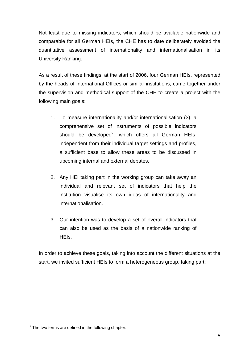Not least due to missing indicators, which should be available nationwide and comparable for all German HEIs, the CHE has to date deliberately avoided the quantitative assessment of internationality and internationalisation in its University Ranking.

As a result of these findings, at the start of 2006, four German HEIs, represented by the heads of International Offices or similar institutions, came together under the supervision and methodical support of the CHE to create a project with the following main goals:

- 1. To measure internationality and/or internationalisation (3), a comprehensive set of instruments of possible indicators shoul[d](#page-5-0) be developed<sup>2</sup>, which offers all German HEIs, independent from their individual target settings and profiles, a sufficient base to allow these areas to be discussed in upcoming internal and external debates.
- 2. Any HEI taking part in the working group can take away an individual and relevant set of indicators that help the institution visualise its own ideas of internationality and internationalisation.
- 3. Our intention was to develop a set of overall indicators that can also be used as the basis of a nationwide ranking of HEIs.

In order to achieve these goals, taking into account the different situations at the start, we invited sufficient HEIs to form a heterogeneous group, taking part:

 $\overline{a}$ 

<span id="page-5-0"></span> $2$  The two terms are defined in the following chapter.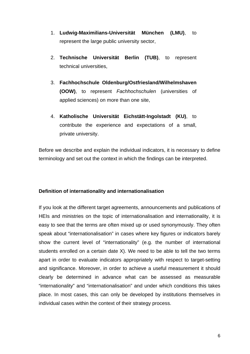- 1. **Ludwig-Maximilians-Universität München (LMU)**, to represent the large public university sector,
- 2. **Technische Universität Berlin (TUB)**, to represent technical universities,
- 3. **Fachhochschule Oldenburg/Ostfriesland/Wilhelmshaven (OOW)**, to represent *Fachhochschulen* (universities of applied sciences) on more than one site,
- 4. **Katholische Universität Eichstätt-Ingolstadt (KU)**, to contribute the experience and expectations of a small, private university.

Before we describe and explain the individual indicators, it is necessary to define terminology and set out the context in which the findings can be interpreted.

#### **Definition of internationality and internationalisation**

If you look at the different target agreements, announcements and publications of HEIs and ministries on the topic of internationalisation and internationality, it is easy to see that the terms are often mixed up or used synonymously. They often speak about "internationalisation" in cases where key figures or indicators barely show the current level of "internationality" (e.g. the number of international students enrolled on a certain date X). We need to be able to tell the two terms apart in order to evaluate indicators appropriately with respect to target-setting and significance. Moreover, in order to achieve a useful measurement it should clearly be determined in advance what can be assessed as measurable "internationality" and "internationalisation" and under which conditions this takes place. In most cases, this can only be developed by institutions themselves in individual cases within the context of their strategy process.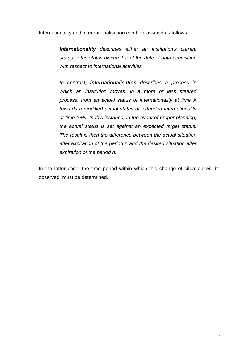Internationality and internationalisation can be classified as follows:

 *Internationality describes either an institution's current status or the status discernible at the date of data acquisition with respect to international activities.* 

*In contrast, internationalisation describes a process in which an institution moves, in a more or less steered process, from an actual status of internationality at time X towards a modified actual status of extended internationality at time X+N. In this instance, in the event of proper planning, the actual status is set against an expected target status. The result is then the difference between the actual situation after expiration of the period n and the desired situation after expiration of the period n.* 

In the latter case, the time period within which this change of situation will be observed, must be determined.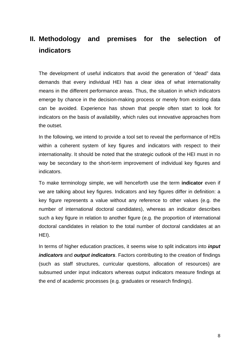# <span id="page-8-0"></span>**II. Methodology and premises for the selection of indicators**

The development of useful indicators that avoid the generation of "dead" data demands that every individual HEI has a clear idea of what internationality means in the different performance areas. Thus, the situation in which indicators emerge by chance in the decision-making process or merely from existing data can be avoided. Experience has shown that people often start to look for indicators on the basis of availability, which rules out innovative approaches from the outset.

In the following, we intend to provide a tool set to reveal the performance of HEIs within a coherent system of key figures and indicators with respect to their internationality. It should be noted that the strategic outlook of the HEI must in no way be secondary to the short-term improvement of individual key figures and indicators.

To make terminology simple, we will henceforth use the term **indicator** even if we are talking about key figures. Indicators and key figures differ in definition: a key figure represents a value without any reference to other values (e.g. the number of international doctoral candidates), whereas an indicator describes such a key figure in relation to another figure (e.g. the proportion of international doctoral candidates in relation to the total number of doctoral candidates at an HEI).

In terms of higher education practices, it seems wise to split indicators into *input indicators* and *output indicators*. Factors contributing to the creation of findings (such as staff structures, curricular questions, allocation of resources) are subsumed under input indicators whereas output indicators measure findings at the end of academic processes (e.g. graduates or research findings).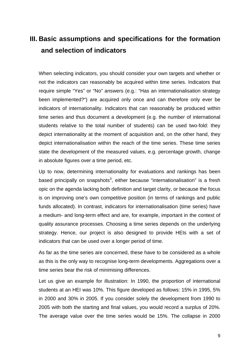# <span id="page-9-0"></span>**III. Basic assumptions and specifications for the formation and selection of indicators**

When selecting indicators, you should consider your own targets and whether or not the indicators can reasonably be acquired within time series. Indicators that require simple "Yes" or "No" answers (e.g.: "Has an internationalisation strategy been implemented?") are acquired only once and can therefore only ever be indicators of internationality. Indicators that can reasonably be produced within time series and thus document a development (e.g. the number of international students relative to the total number of students) can be used two-fold: they depict internationality at the moment of acquisition and, on the other hand, they depict internationalisation within the reach of the time series. These time series state the development of the measured values, e.g. percentage growth, change in absolute figures over a time period, etc.

Up to now, determining internationality for evaluations and rankings has been based principally on snapshots<sup>[3](#page-9-1)</sup>, either because "internationalisation" is a fresh opic on the agenda lacking both definition and target clarity, or because the focus is on improving one's own competitive position (in terms of rankings and public funds allocated). In contrast, indicators for internationalisation (time series) have a medium- and long-term effect and are, for example, important in the context of quality assurance processes. Choosing a time series depends on the underlying strategy. Hence, our project is also designed to provide HEIs with a set of indicators that can be used over a longer period of time.

As far as the time series are concerned, these have to be considered as a whole as this is the only way to recognise long-term developments. Aggregations over a time series bear the risk of minimising differences.

<span id="page-9-1"></span>Let us give an example for illustration: In 1990, the proportion of international students at an HEI was 10%. This figure developed as follows: 15% in 1995, 5% in 2000 and 30% in 2005. If you consider solely the development from 1990 to 2005 with both the starting and final values, you would record a surplus of 20%. The average value over the time series would be 15%. The collapse in 2000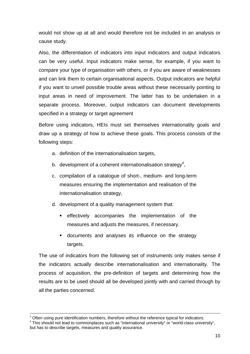would not show up at all and would therefore not be included in an analysis or cause study.

Also, the differentiation of indicators into input indicators and output indicators can be very useful. Input indicators make sense, for example, if you want to compare your type of organisation with others, or if you are aware of weaknesses and can link them to certain organisational aspects. Output indicators are helpful if you want to unveil possible trouble areas without these necessarily pointing to input areas in need of improvement. The latter has to be undertaken in a separate process. Moreover, output indicators can document developments specified in a strategy or target agreement

Before using indicators, HEIs must set themselves internationality goals and draw up a strategy of how to achieve these goals. This process consists of the following steps:

- a. definition of the internationalisation targets,
- b. development of a coherent internationalisation strategy<sup>4</sup>,
- c. compilation of a catalogue of short-, medium- and long-term measures ensuring the implementation and realisation of the internationalisation strategy,
- d. development of a quality management system that:
	- effectively accompanies the implementation of the measures and adjusts the measures, if necessary.
	- documents and analyses its influence on the strategy targets.

The use of indicators from the following set of instruments only makes sense if the indicators actually describe internationalisation and internationality. The process of acquisition, the pre-definition of targets and determining how the results are to be used should all be developed jointly with and carried through by all the parties concerned.

 $3$  Often using pure identification numbers, therefore without the reference typical for indicators.<br> $4$  This should not lead to commonplaces such as "international university" or "world-class university",

<span id="page-10-0"></span>but has to describe targets, measures and quality assurance.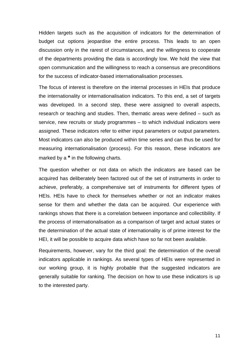Hidden targets such as the acquisition of indicators for the determination of budget cut options jeopardise the entire process. This leads to an open discussion only in the rarest of circumstances, and the willingness to cooperate of the departments providing the data is accordingly low. We hold the view that open communication and the willingness to reach a consensus are preconditions for the success of indicator-based internationalisation processes.

The focus of interest is therefore on the internal processes in HEIs that produce the internationality or internationalisation indicators. To this end, a set of targets was developed. In a second step, these were assigned to overall aspects, research or teaching and studies. Then, thematic areas were defined – such as service, new recruits or study programmes – to which individual indicators were assigned. These indicators refer to either input parameters or output parameters. Most indicators can also be produced within time series and can thus be used for measuring internationalisation (process). For this reason, these indicators are marked by a **\*** in the following charts.

The question whether or not data on which the indicators are based can be acquired has deliberately been factored out of the set of instruments in order to achieve, preferably, a comprehensive set of instruments for different types of HEIs. HEIs have to check for themselves whether or not an indicator makes sense for them and whether the data can be acquired. Our experience with rankings shows that there is a correlation between importance and collectibility. If the process of internationalisation as a comparison of target and actual states or the determination of the actual state of internationality is of prime interest for the HEI, it will be possible to acquire data which have so far not been available.

Requirements, however, vary for the third goal: the determination of the overall indicators applicable in rankings. As several types of HEIs were represented in our working group, it is highly probable that the suggested indicators are generally suitable for ranking. The decision on how to use these indicators is up to the interested party.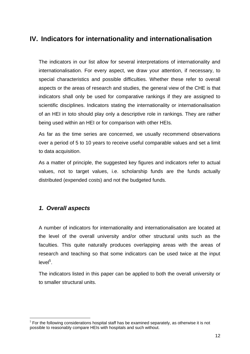# <span id="page-12-0"></span>**IV. Indicators for internationality and internationalisation**

The indicators in our list allow for several interpretations of internationality and internationalisation. For every aspect, we draw your attention, if necessary, to special characteristics and possible difficulties. Whether these refer to overall aspects or the areas of research and studies, the general view of the CHE is that indicators shall only be used for comparative rankings if they are assigned to scientific disciplines. Indicators stating the internationality or internationalisation of an HEI in toto should play only a descriptive role in rankings. They are rather being used within an HEI or for comparison with other HEIs.

As far as the time series are concerned, we usually recommend observations over a period of 5 to 10 years to receive useful comparable values and set a limit to data acquisition.

As a matter of principle, the suggested key figures and indicators refer to actual values, not to target values, i.e. scholarship funds are the funds actually distributed (expended costs) and not the budgeted funds.

#### *1. Overall aspects*

 $\overline{a}$ 

A number of indicators for internationality and internationalisation are located at the level of the overall university and/or other structural units such as the faculties. This quite naturally produces overlapping areas with the areas of research and teaching so that some indicators can be used twice at the input level<sup>[5](#page-12-1)</sup>.

The indicators listed in this paper can be applied to both the overall university or to smaller structural units.

<span id="page-12-1"></span> $<sup>5</sup>$  For the following considerations hospital staff has be examined separately, as otherwise it is not</sup> possible to reasonably compare HEIs with hospitals and such without.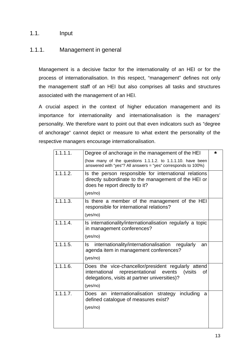#### <span id="page-13-0"></span>1.1. Input

#### 1.1.1. Management in general

Management is a decisive factor for the internationality of an HEI or for the process of internationalisation. In this respect, "management" defines not only the management staff of an HEI but also comprises all tasks and structures associated with the management of an HEI.

A crucial aspect in the context of higher education management and its importance for internationality and internationalisation is the managers' personality. We therefore want to point out that even indicators such as "degree of anchorage" cannot depict or measure to what extent the personality of the respective managers encourage internationalisation.

| (how many of the questions 1.1.1.2. to 1.1.1.10. have been    |                                                                                                                                                                                                                                                                                                                                                                                                                                                                                                                                                                                                                                        |
|---------------------------------------------------------------|----------------------------------------------------------------------------------------------------------------------------------------------------------------------------------------------------------------------------------------------------------------------------------------------------------------------------------------------------------------------------------------------------------------------------------------------------------------------------------------------------------------------------------------------------------------------------------------------------------------------------------------|
| answered with "yes"? All answers = "yes" corresponds to 100%) |                                                                                                                                                                                                                                                                                                                                                                                                                                                                                                                                                                                                                                        |
|                                                               |                                                                                                                                                                                                                                                                                                                                                                                                                                                                                                                                                                                                                                        |
|                                                               |                                                                                                                                                                                                                                                                                                                                                                                                                                                                                                                                                                                                                                        |
|                                                               |                                                                                                                                                                                                                                                                                                                                                                                                                                                                                                                                                                                                                                        |
|                                                               |                                                                                                                                                                                                                                                                                                                                                                                                                                                                                                                                                                                                                                        |
|                                                               |                                                                                                                                                                                                                                                                                                                                                                                                                                                                                                                                                                                                                                        |
|                                                               |                                                                                                                                                                                                                                                                                                                                                                                                                                                                                                                                                                                                                                        |
| regularly<br>an                                               |                                                                                                                                                                                                                                                                                                                                                                                                                                                                                                                                                                                                                                        |
|                                                               |                                                                                                                                                                                                                                                                                                                                                                                                                                                                                                                                                                                                                                        |
| representational<br>events<br>(visits)<br>οf                  |                                                                                                                                                                                                                                                                                                                                                                                                                                                                                                                                                                                                                                        |
| including<br>a                                                |                                                                                                                                                                                                                                                                                                                                                                                                                                                                                                                                                                                                                                        |
|                                                               | Is the person responsible for international relations<br>directly subordinate to the management of the HEI or<br>does he report directly to it?<br>Is there a member of the management of the HEI<br>responsible for international relations?<br>Is internationality/internationalisation regularly a topic<br>in management conferences?<br>internationality/internationalisation<br>agenda item in management conferences?<br>Does the vice-chancellor/president regularly attend<br>international<br>delegations, visits at partner universities)?<br>Does an internationalisation strategy<br>defined catalogue of measures exist? |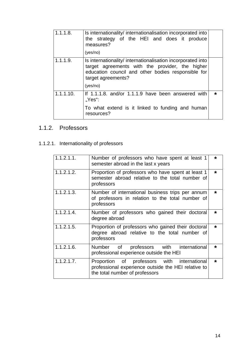<span id="page-14-0"></span>

| 1.1.1.8.  | Is internationality/ internationalisation incorporated into<br>the strategy of the HEI and does it produce<br>measures?<br>(yes/no)                                                                    |  |
|-----------|--------------------------------------------------------------------------------------------------------------------------------------------------------------------------------------------------------|--|
| 1.1.1.9.  | Is internationality/ internationalisation incorporated into<br>target agreements with the provider, the higher<br>education council and other bodies responsible for<br>target agreements?<br>(yes/no) |  |
| 1.1.1.10. | If 1.1.1.8. and/or 1.1.1.9 have been answered with<br>$Yes$ :<br>To what extend is it linked to funding and human<br>resources?                                                                        |  |

## 1.1.2. Professors

# 1.1.2.1. Internationality of professors

| 1.1.2.1.1. | Number of professors who have spent at least 1<br>semester abroad in the last x years                                                | $\star$ |
|------------|--------------------------------------------------------------------------------------------------------------------------------------|---------|
| 1.1.2.1.2. | Proportion of professors who have spent at least 1<br>semester abroad relative to the total number of<br>professors                  | $\star$ |
| 1.1.2.1.3. | Number of international business trips per annum<br>of professors in relation to the total number of<br>professors                   | $\star$ |
| 1.1.2.1.4. | Number of professors who gained their doctoral<br>degree abroad                                                                      | $\star$ |
| 1.1.2.1.5. | Proportion of professors who gained their doctoral<br>degree abroad relative to the total number of<br>professors                    | $\star$ |
| 1.1.2.1.6. | professors with international<br>Number of<br>professional experience outside the HEI                                                | $\star$ |
| 1.1.2.1.7. | Proportion of professors with international<br>professional experience outside the HEI relative to<br>the total number of professors | $\star$ |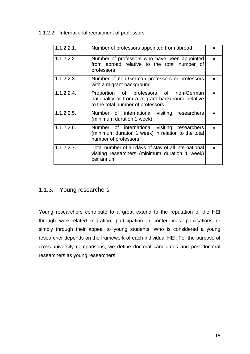#### <span id="page-15-0"></span>1.1.2.2. International recruitment of professors

| 1.1.2.2.1. | Number of professors appointed from abroad                                                                                       | *       |
|------------|----------------------------------------------------------------------------------------------------------------------------------|---------|
| 1.1.2.2.2. | Number of professors who have been appointed<br>from abroad relative to the total number of<br>professors                        | $\star$ |
| 1.1.2.2.3. | Number of non-German professors or professors<br>with a migrant background                                                       | $\star$ |
| 1.1.2.2.4. | Proportion of professors of non-German<br>nationality or from a migrant background relative<br>to the total number of professors | $\star$ |
| 1.1.2.2.5. | Number of international visiting researchers<br>(minimum duration 1 week)                                                        | $\star$ |
| 1.1.2.2.6. | Number of international visiting researchers<br>(minimum duration 1 week) in relation to the total<br>number of professors       | $\star$ |
| 1.1.2.2.7. | Total number of all days of stay of all international<br>visiting researchers (minimum duration 1 week)<br>per annum             | $\star$ |

#### 1.1.3. Young researchers

Young researchers contribute to a great extend to the reputation of the HEI through work-related migration, participation in conferences, publications or simply through their appeal to young students. Who is considered a young researcher depends on the framework of each individual HEI. For the purpose of cross-university comparisons, we define doctoral candidates and post-doctoral researchers as young researchers.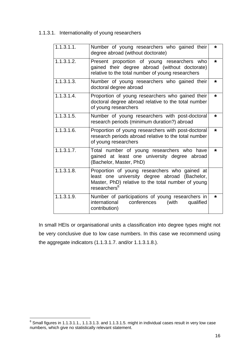<span id="page-16-0"></span>1.1.3.1. Internationality of young researchers

| 1.1.3.1.1. | Number of young researchers who gained their<br>degree abroad (without doctorate)                                                                                                | *       |
|------------|----------------------------------------------------------------------------------------------------------------------------------------------------------------------------------|---------|
| 1.1.3.1.2. | Present proportion of young researchers who<br>gained their degree abroad (without doctorate)<br>relative to the total number of young researchers                               | $\star$ |
| 1.1.3.1.3. | Number of young researchers who gained their<br>doctoral degree abroad                                                                                                           | *       |
| 1.1.3.1.4. | Proportion of young researchers who gained their<br>doctoral degree abroad relative to the total number<br>of young researchers                                                  | $\star$ |
| 1.1.3.1.5. | Number of young researchers with post-doctoral<br>research periods (minimum duration?) abroad                                                                                    | *       |
| 1.1.3.1.6. | Proportion of young researchers with post-doctoral<br>research periods abroad relative to the total number<br>of young researchers                                               | $\star$ |
| 1.1.3.1.7. | Total number of young researchers who have<br>gained at least one university degree abroad<br>(Bachelor, Master, PhD)                                                            | $\star$ |
| 1.1.3.1.8. | Proportion of young researchers who gained at<br>least one university degree abroad (Bachelor,<br>Master, PhD) relative to the total number of young<br>researchers <sup>6</sup> |         |
| 1.1.3.1.9. | Number of participations of young researchers in<br>qualified<br>international<br>conferences<br>(with<br>contribution)                                                          | *       |

In small HEIs or organisational units a classification into degree types might not be very conclusive due to low case numbers. In this case we recommend using the aggregate indicators (1.1.3.1.7. and/or 1.1.3.1.8.).

<span id="page-16-1"></span><sup>————————————————————&</sup>lt;br><sup>6</sup> Small figures in 1.1.3.1.1., 1.1.3.1.3. and 1.1.3.1.5. might in individual cases result in very low case numbers, which give no statistically relevant statement.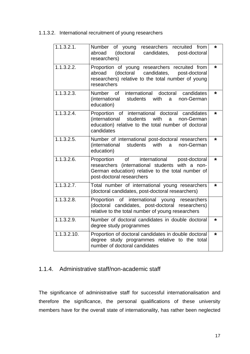<span id="page-17-0"></span>1.1.3.2. International recruitment of young researchers

| 1.1.3.2.1.              | Number of young<br>researchers recruited from<br>(doctoral<br>abroad<br>candidates,<br>post-doctoral<br>researchers)                                                              | $\star$ |
|-------------------------|-----------------------------------------------------------------------------------------------------------------------------------------------------------------------------------|---------|
| 1.1.3.2.2.              | Proportion of young researchers recruited from<br>abroad (doctoral candidates,<br>post-doctoral<br>researchers) relative to the total number of young<br>researchers              | $\star$ |
| 1.1.3.2.3.              | Number of international doctoral<br>candidates<br>(international students with<br>non-German<br>a a<br>education)                                                                 | $\star$ |
| 1.1.3.2.4.              | Proportion of international doctoral candidates<br>(international<br>students<br>with<br>a non-German<br>education) relative to the total number of doctoral<br>candidates        | $\star$ |
| $1.\overline{1.3.2.5.}$ | Number of international post-doctoral researchers<br>(international students with<br>a<br>non-German<br>education)                                                                | $\star$ |
| 1.1.3.2.6.              | Proportion of international<br>post-doctoral<br>researchers (international students with a non-<br>German education) relative to the total number of<br>post-doctoral researchers | $\star$ |
| 1.1.3.2.7.              | Total number of international young researchers<br>(doctoral candidates, post-doctoral researchers)                                                                               | *       |
| 1.1.3.2.8.              | Proportion of international young<br>researchers<br>(doctoral candidates, post-doctoral researchers)<br>relative to the total number of young researchers                         |         |
| 1.1.3.2.9.              | Number of doctoral candidates in double doctoral<br>degree study programmes                                                                                                       | *       |
| 1.1.3.2.10.             | Proportion of doctoral candidates in double doctoral<br>degree study programmes relative to the total<br>number of doctoral candidates                                            | $\star$ |

#### 1.1.4. Administrative staff/non-academic staff

The significance of administrative staff for successful internationalisation and therefore the significance, the personal qualifications of these university members have for the overall state of internationality, has rather been neglected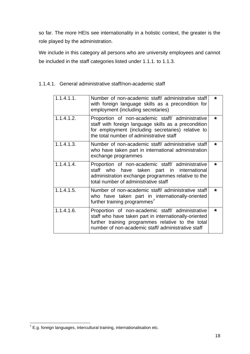<span id="page-18-0"></span>so far. The more HEIs see internationality in a holistic context, the greater is the role played by the administration.

We include in this category all persons who are university employees and cannot be included in the staff categories listed under 1.1.1. to 1.1.3.

| 1.1.4.1.1. | Number of non-academic staff/ administrative staff<br>with foreign language skills as a precondition for<br>employment (including secretaries)                                                                      | $\star$ |
|------------|---------------------------------------------------------------------------------------------------------------------------------------------------------------------------------------------------------------------|---------|
| 1.1.4.1.2. | Proportion of non-academic staff/ administrative<br>staff with foreign language skills as a precondition<br>for employment (including secretaries) relative to<br>the total number of administrative staff          | $\star$ |
| 1.1.4.1.3. | Number of non-academic staff/ administrative staff<br>who have taken part in international administration<br>exchange programmes                                                                                    | $\star$ |
| 1.1.4.1.4. | Proportion of non-academic staff/ administrative<br>staff who have taken part in international<br>administration exchange programmes relative to the<br>total number of administrative staff                        | $\star$ |
| 1.1.4.1.5. | Number of non-academic staff/ administrative staff<br>who have taken part in internationally-oriented<br>further training programmes <sup>7</sup>                                                                   | $\star$ |
| 1.1.4.1.6. | Proportion of non-academic staff/ administrative<br>staff who have taken part in internationally-oriented<br>further training programmes relative to the total<br>number of non-academic staff/administrative staff | $\star$ |

#### 1.1.4.1. General administrative staff/non-academic staff

<span id="page-18-1"></span> 7 E.g. foreign languages, intercultural training, internationalisation etc.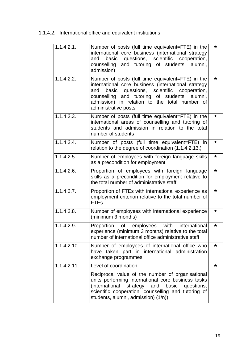# <span id="page-19-0"></span>1.1.4.2. International office and equivalent institutions

| 1.1.4.2.1.<br>Number of posts (full time equivalent=FTE) in the<br>*<br>international core business (international strategy<br>basic questions, scientific cooperation,<br>and<br>counselling and tutoring of students, alumni,<br>admission)<br>$1.1.\overline{4.2.2.}$<br>Number of posts (full time equivalent=FTE) in the<br>*<br>international core business (international strategy<br>basic<br>questions, scientific<br>cooperation,<br>and<br>counselling and tutoring of students, alumni,<br>admission) in relation to the total number of<br>administrative posts<br>1.1.4.2.3.<br>Number of posts (full time equivalent=FTE) in the<br>$\star$<br>international areas of counselling and tutoring of<br>students and admission in relation to the total<br>number of students<br>1.1.4.2.4.<br>Number of posts (full time equivalent=FTE) in<br>*<br>relation to the degree of coordination (1.1.4.2.13.)<br>1.1.4.2.5.<br>Number of employees with foreign language skills<br>$\star$<br>as a precondition for employment<br>1.1.4.2.6.<br>Proportion of employees with foreign language<br>*<br>skills as a precondition for employment relative to<br>the total number of administrative staff<br>1.1.4.2.7.<br>Proportion of FTEs with international experience as<br>*<br>employment criterion relative to the total number of<br><b>FTEs</b><br>1.1.4.2.8.<br>Number of employees with international experience<br>*<br>(minimum 3 months)<br>1.1.4.2.9.<br>Proportion of employees with<br>international<br>*<br>experience (minimum 3 months) relative to the total<br>number of international office administrative staff<br>1.1.4.2.10.<br>Number of employees of international office who<br>*<br>have taken part in international administration<br>exchange programmes<br>1.1.4.2.11.<br>Level of coordination<br>*<br>Reciprocal value of the number of organisational<br>units performing international core business tasks<br>(international strategy and<br>basic<br>questions,<br>scientific cooperation, counselling and tutoring of<br>students, alumni, admission) (1/n)) |  |  |
|------------------------------------------------------------------------------------------------------------------------------------------------------------------------------------------------------------------------------------------------------------------------------------------------------------------------------------------------------------------------------------------------------------------------------------------------------------------------------------------------------------------------------------------------------------------------------------------------------------------------------------------------------------------------------------------------------------------------------------------------------------------------------------------------------------------------------------------------------------------------------------------------------------------------------------------------------------------------------------------------------------------------------------------------------------------------------------------------------------------------------------------------------------------------------------------------------------------------------------------------------------------------------------------------------------------------------------------------------------------------------------------------------------------------------------------------------------------------------------------------------------------------------------------------------------------------------------------------------------------------------------------------------------------------------------------------------------------------------------------------------------------------------------------------------------------------------------------------------------------------------------------------------------------------------------------------------------------------------------------------------------------------------------------------------------------------------------------------------------|--|--|
|                                                                                                                                                                                                                                                                                                                                                                                                                                                                                                                                                                                                                                                                                                                                                                                                                                                                                                                                                                                                                                                                                                                                                                                                                                                                                                                                                                                                                                                                                                                                                                                                                                                                                                                                                                                                                                                                                                                                                                                                                                                                                                            |  |  |
|                                                                                                                                                                                                                                                                                                                                                                                                                                                                                                                                                                                                                                                                                                                                                                                                                                                                                                                                                                                                                                                                                                                                                                                                                                                                                                                                                                                                                                                                                                                                                                                                                                                                                                                                                                                                                                                                                                                                                                                                                                                                                                            |  |  |
|                                                                                                                                                                                                                                                                                                                                                                                                                                                                                                                                                                                                                                                                                                                                                                                                                                                                                                                                                                                                                                                                                                                                                                                                                                                                                                                                                                                                                                                                                                                                                                                                                                                                                                                                                                                                                                                                                                                                                                                                                                                                                                            |  |  |
|                                                                                                                                                                                                                                                                                                                                                                                                                                                                                                                                                                                                                                                                                                                                                                                                                                                                                                                                                                                                                                                                                                                                                                                                                                                                                                                                                                                                                                                                                                                                                                                                                                                                                                                                                                                                                                                                                                                                                                                                                                                                                                            |  |  |
|                                                                                                                                                                                                                                                                                                                                                                                                                                                                                                                                                                                                                                                                                                                                                                                                                                                                                                                                                                                                                                                                                                                                                                                                                                                                                                                                                                                                                                                                                                                                                                                                                                                                                                                                                                                                                                                                                                                                                                                                                                                                                                            |  |  |
|                                                                                                                                                                                                                                                                                                                                                                                                                                                                                                                                                                                                                                                                                                                                                                                                                                                                                                                                                                                                                                                                                                                                                                                                                                                                                                                                                                                                                                                                                                                                                                                                                                                                                                                                                                                                                                                                                                                                                                                                                                                                                                            |  |  |
|                                                                                                                                                                                                                                                                                                                                                                                                                                                                                                                                                                                                                                                                                                                                                                                                                                                                                                                                                                                                                                                                                                                                                                                                                                                                                                                                                                                                                                                                                                                                                                                                                                                                                                                                                                                                                                                                                                                                                                                                                                                                                                            |  |  |
|                                                                                                                                                                                                                                                                                                                                                                                                                                                                                                                                                                                                                                                                                                                                                                                                                                                                                                                                                                                                                                                                                                                                                                                                                                                                                                                                                                                                                                                                                                                                                                                                                                                                                                                                                                                                                                                                                                                                                                                                                                                                                                            |  |  |
|                                                                                                                                                                                                                                                                                                                                                                                                                                                                                                                                                                                                                                                                                                                                                                                                                                                                                                                                                                                                                                                                                                                                                                                                                                                                                                                                                                                                                                                                                                                                                                                                                                                                                                                                                                                                                                                                                                                                                                                                                                                                                                            |  |  |
|                                                                                                                                                                                                                                                                                                                                                                                                                                                                                                                                                                                                                                                                                                                                                                                                                                                                                                                                                                                                                                                                                                                                                                                                                                                                                                                                                                                                                                                                                                                                                                                                                                                                                                                                                                                                                                                                                                                                                                                                                                                                                                            |  |  |
|                                                                                                                                                                                                                                                                                                                                                                                                                                                                                                                                                                                                                                                                                                                                                                                                                                                                                                                                                                                                                                                                                                                                                                                                                                                                                                                                                                                                                                                                                                                                                                                                                                                                                                                                                                                                                                                                                                                                                                                                                                                                                                            |  |  |
|                                                                                                                                                                                                                                                                                                                                                                                                                                                                                                                                                                                                                                                                                                                                                                                                                                                                                                                                                                                                                                                                                                                                                                                                                                                                                                                                                                                                                                                                                                                                                                                                                                                                                                                                                                                                                                                                                                                                                                                                                                                                                                            |  |  |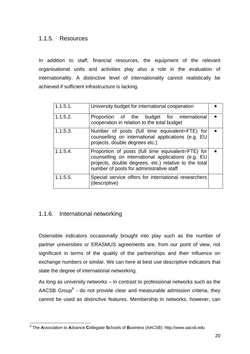#### <span id="page-20-0"></span>1.1.5. Resources

In addition to staff, financial resources, the equipment of the relevant organisational units and activities play also a role in the evaluation of internationality. A distinctive level of internationality cannot realistically be achieved if sufficient infrastructure is lacking.

| 1.1.5.1.    | University budget for international cooperation                                                                                                                                                               | *       |
|-------------|---------------------------------------------------------------------------------------------------------------------------------------------------------------------------------------------------------------|---------|
| 1.1.5.2.    | Proportion of the budget for international<br>cooperation in relation to the total budget                                                                                                                     | $\star$ |
| 1.1.5.3.    | Number of posts (full time equivalent=FTE) for<br>counselling on international applications (e.g. EU<br>projects, double degrees etc.)                                                                        | $\star$ |
| $1.1.5.4$ . | Proportion of posts (full time equivalent=FTE) for<br>counselling on international applications (e.g. EU<br>projects, double degrees, etc.) relative to the total<br>number of posts for administrative staff | $\star$ |
| 1.1.5.5.    | Special service offers for international researchers<br>(descriptive)                                                                                                                                         |         |

#### 1.1.6. International networking

Ostensible indicators occasionally brought into play such as the number of partner universities or ERASMUS agreements are, from our point of view, not significant in terms of the quality of the partnerships and their influence on exchange numbers or similar. We can here at best use descriptive indicators that state the degree of international networking.

As long as university networks – in contrast to professional networks such as the AACSB Group $<sup>8</sup>$  $<sup>8</sup>$  $<sup>8</sup>$  - do not provide clear and measurable admission criteria, they</sup> cannot be used as distinctive features. Membership in networks, however, can

<span id="page-20-1"></span> $\overline{a}$ 8 The **A**ssociation to **A**dvance **C**ollegiate **S**chools of **B**usiness (AACSB): [http://www.aacsb.edu](http://www.aacsb.edu/)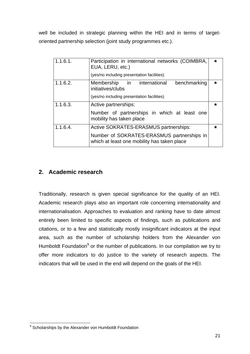<span id="page-21-0"></span>well be included in strategic planning within the HEI and in terms of targetoriented partnership selection (joint study programmes etc.).

| 1.1.6.1. | Participation in international networks (COIMBRA,<br>EUA, LERU, etc.)<br>(yes/no including presentation facilities) | $\star$ |
|----------|---------------------------------------------------------------------------------------------------------------------|---------|
| 1.1.6.2. | Membership in international<br>benchmarking<br>initiatives/clubs<br>(yes/no including presentation facilities)      | $\star$ |
| 1.1.6.3. | Active partnerships:                                                                                                | $\star$ |
|          | Number of partnerships in which at least one<br>mobility has taken place                                            |         |
|          |                                                                                                                     |         |
| 1.1.6.4. | Active SOKRATES-ERASMUS partnerships:                                                                               | $\star$ |

#### **2. Academic research**

Traditionally, research is given special significance for the quality of an HEI. Academic research plays also an important role concerning internationality and internationalisation. Approaches to evaluation and ranking have to date almost entirely been limited to specific aspects of findings, such as publications and citations, or to a few and statistically mostly insignificant indicators at the input area, such as the number of scholarship holders from the Alexander von Humboldt Foundation<sup>[9](#page-21-1)</sup> or the number of publications. In our compilation we try to offer more indicators to do justice to the variety of research aspects. The indicators that will be used in the end will depend on the goals of the HEI.

 $\overline{a}$ 

<span id="page-21-1"></span><sup>&</sup>lt;sup>9</sup> Scholarships by the Alexander von Humboldt Foundation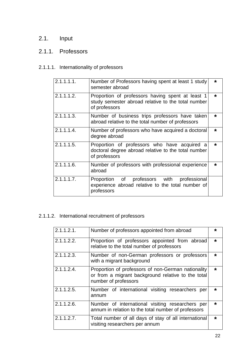# <span id="page-22-0"></span>2.1. Input

# 2.1.1. Professors

#### 2.1.1.1. Internationality of professors

| 2.1.1.1.1. | Number of Professors having spent at least 1 study<br>semester abroad                                                   | $\star$ |
|------------|-------------------------------------------------------------------------------------------------------------------------|---------|
| 2.1.1.1.2. | Proportion of professors having spent at least 1<br>study semester abroad relative to the total number<br>of professors | $\star$ |
| 2.1.1.1.3. | Number of business trips professors have taken<br>abroad relative to the total number of professors                     | $\star$ |
| 2.1.1.1.4. | Number of professors who have acquired a doctoral<br>degree abroad                                                      | $\star$ |
| 2.1.1.1.5. | Proportion of professors who have acquired a<br>doctoral degree abroad relative to the total number<br>of professors    | $\star$ |
| 2.1.1.1.6. | Number of professors with professional experience<br>abroad                                                             | $\star$ |
| 2.1.1.1.7. | Proportion of professors with<br>professional<br>experience abroad relative to the total number of<br>professors        |         |

## 2.1.1.2. International recruitment of professors

| 2.1.1.2.1.    | Number of professors appointed from abroad                                                                                       | *       |
|---------------|----------------------------------------------------------------------------------------------------------------------------------|---------|
| 2.1.1.2.2.    | Proportion of professors appointed from abroad<br>relative to the total number of professors                                     | $\star$ |
| $2.1.1.2.3$ . | Number of non-German professors or professors<br>with a migrant background                                                       | $\star$ |
| $2.1.1.2.4$ . | Proportion of professors of non-German nationality<br>or from a migrant background relative to the total<br>number of professors | $\star$ |
| $2.1.1.2.5$ . | Number of international visiting researchers<br>per<br>annum                                                                     | $\star$ |
| $2.1.1.2.6$ . | Number of international visiting researchers per<br>annum in relation to the total number of professors                          | $\star$ |
| $2.1.1.2.7$ . | Total number of all days of stay of all international<br>visiting researchers per annum                                          | $\star$ |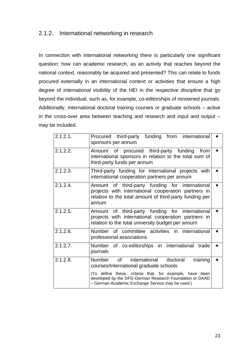#### <span id="page-23-0"></span>2.1.2. International networking in research

In connection with international networking there is particularly one significant question: how can academic research, as an activity that reaches beyond the national context, reasonably be acquired and presented? This can relate to funds procured externally in an international context or activities that ensure a high degree of international visibility of the HEI in the respective discipline that go beyond the individual, such as, for example, co-editorships of renowned journals. Additionally, international doctoral training courses or graduate schools – active in the cross-over area between teaching and research and input and output – may be included.

| 2.1.2.1. | Procured third-party funding from international<br>sponsors per annum                                                                                                                                                                                                     | * |
|----------|---------------------------------------------------------------------------------------------------------------------------------------------------------------------------------------------------------------------------------------------------------------------------|---|
| 2.1.2.2. | Amount of procured third-party funding from<br>international sponsors in relation to the total sum of<br>third-party funds per annum                                                                                                                                      | * |
| 2.1.2.3. | Third-party funding for international projects with<br>international cooperation partners per annum                                                                                                                                                                       | * |
| 2.1.2.4. | Amount of third-party funding for international<br>projects with international cooperation partners in<br>relation to the total amount of third-party funding per<br>annum                                                                                                | * |
| 2.1.2.5. | Amount of third-party funding for international<br>projects with international cooperation partners in<br>relation to the total university budget per annum                                                                                                               | * |
| 2.1.2.6. | Number of committee activities in international<br>professional associations                                                                                                                                                                                              | * |
| 2.1.2.7  | Number of co-editorships in international<br>trade<br>journals                                                                                                                                                                                                            | * |
| 2.1.2.8. | Number<br>of<br>international<br>training<br>doctoral<br>courses/International graduate schools<br>(To define these, criteria that, for example, have been<br>developed by the DFG-German Research Foundation or DAAD<br>- German Academic Exchange Service may be used.) | * |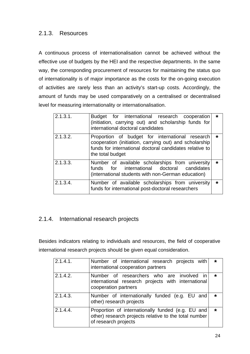#### <span id="page-24-0"></span>2.1.3. Resources

A continuous process of internationalisation cannot be achieved without the effective use of budgets by the HEI and the respective departments. In the same way, the corresponding procurement of resources for maintaining the status quo of internationality is of major importance as the costs for the on-going execution of activities are rarely less than an activity's start-up costs. Accordingly, the amount of funds may be used comparatively on a centralised or decentralised level for measuring internationality or internationalisation.

| 2.1.3.1. | Budget for international research cooperation<br>(initiation, carrying out) and scholarship funds for<br>international doctoral candidates                                               | $\star$ |
|----------|------------------------------------------------------------------------------------------------------------------------------------------------------------------------------------------|---------|
| 2.1.3.2. | Proportion of budget for international research<br>cooperation (initiation, carrying out) and scholarship<br>funds for international doctoral candidates relative to<br>the total budget | $\star$ |
| 2.1.3.3. | Number of available scholarships from university<br>funds for international doctoral candidates<br>(international students with non-German education)                                    | $\star$ |
| 2.1.3.4. | Number of available scholarships from university<br>funds for international post-doctoral researchers                                                                                    | $\star$ |

#### 2.1.4. International research projects

Besides indicators relating to individuals and resources, the field of cooperative international research projects should be given equal consideration.

| 2.1.4.1. | Number of international research projects with<br>international cooperation partners                                               | $\star$ |
|----------|------------------------------------------------------------------------------------------------------------------------------------|---------|
| 2.1.4.2. | Number of researchers who are involved in<br>international research projects with international<br>cooperation partners            | $\star$ |
| 2.1.4.3. | Number of internationally funded (e.g. EU and<br>other) research projects                                                          | $\star$ |
| 2.1.4.4. | Proportion of internationally funded (e.g. EU and<br>other) research projects relative to the total number<br>of research projects | $\star$ |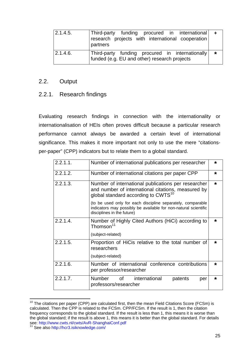<span id="page-25-0"></span>

| 2.1.4.5. | $ Third-party$ funding procured in international $+$<br>research projects with international cooperation<br>partners |         |
|----------|----------------------------------------------------------------------------------------------------------------------|---------|
| 2.1.4.6. | Third-party funding procured in internationally<br>funded (e.g. EU and other) research projects                      | $\star$ |

#### 2.2. Output

#### 2.2.1. Research findings

Evaluating research findings in connection with the internationality or internationalisation of HEIs often proves difficult because a particular research performance cannot always be awarded a certain level of international significance. This makes it more important not only to use the mere "citationsper-paper" (CPP) indicators but to relate them to a global standard.

| $2.2.1.1$ . | Number of international publications per researcher                                                                                                          | $\star$ |
|-------------|--------------------------------------------------------------------------------------------------------------------------------------------------------------|---------|
| 2.2.1.2.    | Number of international citations per paper CPP                                                                                                              | $\star$ |
| 2.2.1.3.    | Number of international publications per researcher<br>and number of international citations, measured by<br>global standard according to $CWTS^{10}$        | $\star$ |
|             | (to be used only for each discipline separately, comparable<br>indicators may possibly be available for non-natural scientific<br>disciplines in the future) |         |
| 2.2.1.4.    | Number of Highly Cited Authors (HiCi) according to<br>Thomson <sup>11</sup>                                                                                  | $\star$ |
|             | (subject-related)                                                                                                                                            |         |
| 2.2.1.5.    | Proportion of HiCis relative to the total number of<br>researchers<br>(subject-related)                                                                      | $\star$ |
| 2.2.1.6.    | Number of international conference contributions<br>per professor/researcher                                                                                 | $\star$ |
| 2.2.1.7.    | Number of<br>international<br>patents<br>per<br>professors/researcher                                                                                        | $\star$ |

<span id="page-25-1"></span> $10$  The citations per paper (CPP) are calculated first, then the mean Field Citations Score (FCSm) is calculated. Then the CPP is related to the FCSm. CPP/FCSm. If the result is 1, then the citation frequency corresponds to the global standard. If the result is less than 1, this means it is worse than the global standard; if the result is above 1, this means it is better than the global standard. For details see: http://www.cwts.nl/cwts/AvR-ShanghaiConf.pdf

 $\overline{a}$ 

<span id="page-25-2"></span><sup>&</sup>lt;sup>11</sup> See also http://hcr3.isiknowledge.com/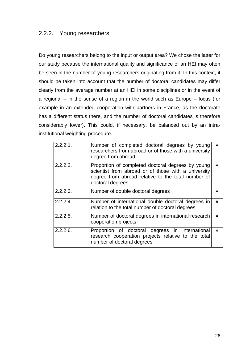#### <span id="page-26-0"></span>2.2.2. Young researchers

Do young researchers belong to the input or output area? We chose the latter for our study because the international quality and significance of an HEI may often be seen in the number of young researchers originating from it. In this context, it should be taken into account that the number of doctoral candidates may differ clearly from the average number at an HEI in some disciplines or in the event of a regional – in the sense of a region in the world such as Europe – focus (for example in an extended cooperation with partners in France, as the doctorate has a different status there, and the number of doctoral candidates is therefore considerably lower). This could, if necessary, be balanced out by an intrainstitutional weighting procedure.

| 2.2.2.1  | Number of completed doctoral degrees by young<br>researchers from abroad or of those with a university<br>degree from abroad                                                       | $\star$ |
|----------|------------------------------------------------------------------------------------------------------------------------------------------------------------------------------------|---------|
| 2.2.2.2. | Proportion of completed doctoral degrees by young<br>scientist from abroad or of those with a university<br>degree from abroad relative to the total number of<br>doctoral degrees | $\star$ |
| 2.2.2.3. | Number of double doctoral degrees                                                                                                                                                  | *       |
| 2.2.2.4  | Number of international double doctoral degrees in<br>relation to the total number of doctoral degrees                                                                             | $\star$ |
| 2.2.2.5. | Number of doctoral degrees in international research<br>cooperation projects                                                                                                       | $\star$ |
| 2.2.2.6  | Proportion of doctoral degrees in international<br>research cooperation projects relative to the total<br>number of doctoral degrees                                               | $\star$ |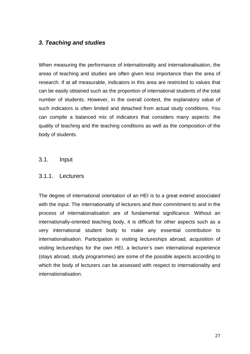#### <span id="page-27-0"></span>*3. Teaching and studies*

When measuring the performance of internationality and internationalisation, the areas of teaching and studies are often given less importance than the area of research. If at all measurable, indicators in this area are restricted to values that can be easily obtained such as the proportion of international students of the total number of students. However, in the overall context, the explanatory value of such indicators is often limited and detached from actual study conditions. You can compile a balanced mix of indicators that considers many aspects: the quality of teaching and the teaching conditions as well as the composition of the body of students.

#### 3.1. Input

#### 3.1.1. Lecturers

The degree of international orientation of an HEI is to a great extend associated with the input. The internationality of lecturers and their commitment to and in the process of internationalisation are of fundamental significance. Without an internationally-oriented teaching body, it is difficult for other aspects such as a very international student body to make any essential contribution to internationalisation. Participation in visiting lectureships abroad, acquisition of visiting lectureships for the own HEI, a lecturer's own international experience (stays abroad, study programmes) are some of the possible aspects according to which the body of lecturers can be assessed with respect to internationality and internationalisation.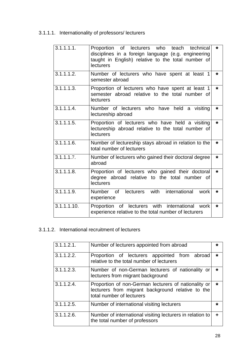# <span id="page-28-0"></span>3.1.1.1. Internationality of professors/ lecturers

| 3.1.1.1.1.               | Proportion of lecturers who<br>technical<br>teach<br>disciplines in a foreign language (e.g. engineering<br>taught in English) relative to the total number of<br>lecturers | *       |
|--------------------------|-----------------------------------------------------------------------------------------------------------------------------------------------------------------------------|---------|
| 3.1.1.1.2.               | Number of lecturers who have spent at least 1<br>semester abroad                                                                                                            | *       |
| 3.1.1.1.3.               | Proportion of lecturers who have spent at least 1<br>semester abroad relative to the total number of<br>lecturers                                                           | *       |
| 3.1.1.1.4.               | Number of lecturers who have held a visiting<br>lectureship abroad                                                                                                          | *       |
| 3.1.1.1.5.               | Proportion of lecturers who have held a visiting<br>lectureship abroad relative to the total number of<br>lecturers                                                         | *       |
| 3.1.1.1.6.               | Number of lectureship stays abroad in relation to the<br>total number of lecturers                                                                                          | *       |
| $3.\overline{1.1.1.7.}$  | Number of lecturers who gained their doctoral degree<br>abroad                                                                                                              | *       |
| 3.1.1.1.8.               | Proportion of lecturers who gained their doctoral<br>degree abroad relative to the total<br>number of<br>lecturers                                                          | $\star$ |
| 3.1.1.1.9.               | Number of lecturers with international<br>work<br>experience                                                                                                                | *       |
| $3.1.1.1.\overline{10.}$ | Proportion of lecturers with international<br>work<br>experience relative to the total number of lecturers                                                                  | *       |

#### 3.1.1.2. International recruitment of lecturers

| 3.1.1.2.1.    | Number of lecturers appointed from abroad                                                                                              | *       |
|---------------|----------------------------------------------------------------------------------------------------------------------------------------|---------|
| 3.1.1.2.2.    | Proportion of lecturers appointed from abroad<br>relative to the total number of lecturers                                             | $\star$ |
| 3.1.1.2.3.    | Number of non-German lecturers of nationality or<br>lecturers from migrant background                                                  | $\star$ |
| $3.1.1.2.4$ . | Proportion of non-German lecturers of nationality or<br>lecturers from migrant background relative to the<br>total number of lecturers | $\star$ |
| $3.1.1.2.5$ . | Number of international visiting lecturers                                                                                             | *       |
| $3.1.1.2.6$ . | Number of international visiting lecturers in relation to<br>the total number of professors                                            | ٠       |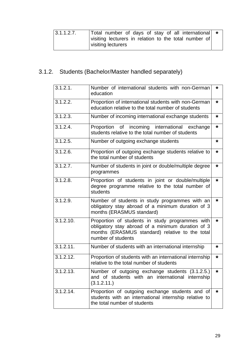<span id="page-29-0"></span>

| 3.1.1.2.7. | Total number of days of stay of all international *   |  |
|------------|-------------------------------------------------------|--|
|            | visiting lecturers in relation to the total number of |  |
|            | visiting lecturers                                    |  |

# 3.1.2. Students (Bachelor/Master handled separately)

| $3.1.\overline{2.1}$ . | Number of international students with non-German<br>education                                                                                                                 | *       |
|------------------------|-------------------------------------------------------------------------------------------------------------------------------------------------------------------------------|---------|
| 3.1.2.2.               | Proportion of international students with non-German<br>education relative to the total number of students                                                                    | *       |
| 3.1.2.3.               | Number of incoming international exchange students                                                                                                                            | *       |
| $3.1.2.4$ .            | Proportion of incoming international<br>exchange<br>students relative to the total number of students                                                                         | $\star$ |
| 3.1.2.5.               | Number of outgoing exchange students                                                                                                                                          | *       |
| 3.1.2.6.               | Proportion of outgoing exchange students relative to<br>the total number of students                                                                                          | *       |
| 3.1.2.7.               | Number of students in joint or double/multiple degree<br>programmes                                                                                                           | *       |
| $3.1.2.8$ .            | Proportion of students in joint or double/multiple<br>degree programme relative to the total number of<br>students                                                            | *       |
| 3.1.2.9.               | Number of students in study programmes with an<br>obligatory stay abroad of a minimum duration of 3<br>months (ERASMUS standard)                                              | *       |
| 3.1.2.10.              | Proportion of students in study programmes with<br>obligatory stay abroad of a minimum duration of 3<br>months (ERASMUS standard) relative to the total<br>number of students | *       |
| 3.1.2.11.              | Number of students with an international internship                                                                                                                           | *       |
| 3.1.2.12.              | Proportion of students with an international internship<br>relative to the total number of students                                                                           | *       |
| 3.1.2.13               | Number of outgoing exchange students (3.1.2.5.)<br>and of students with an international internship<br>(3.1.2.11.)                                                            | *       |
| 3.1.2.14.              | Proportion of outgoing exchange students and of<br>students with an international internship relative to<br>the total number of students                                      | *       |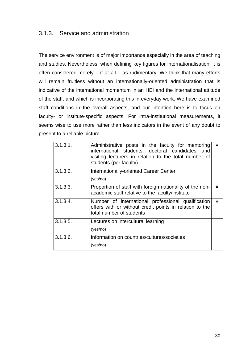#### <span id="page-30-0"></span>3.1.3. Service and administration

The service environment is of major importance especially in the area of teaching and studies. Nevertheless, when defining key figures for internationalisation, it is often considered merely  $-$  if at all  $-$  as rudimentary. We think that many efforts will remain fruitless without an internationally-oriented administration that is indicative of the international momentum in an HEI and the international attitude of the staff, and which is incorporating this in everyday work. We have examined staff conditions in the overall aspects, and our intention here is to focus on faculty- or institute-specific aspects. For intra-institutional measurements, it seems wise to use more rather than less indicators in the event of any doubt to present to a reliable picture.

| 3.1.3.1. | Administrative posts in the faculty for mentoring<br>international students, doctoral candidates and<br>visiting lecturers in relation to the total number of<br>students (per faculty) | *       |
|----------|-----------------------------------------------------------------------------------------------------------------------------------------------------------------------------------------|---------|
| 3.1.3.2. | <b>Internationally-oriented Career Center</b><br>(yes/no)                                                                                                                               |         |
| 3.1.3.3. | Proportion of staff with foreign nationality of the non-<br>academic staff relative to the faculty/institute                                                                            | $\star$ |
| 3.1.3.4. | Number of international professional qualification<br>offers with or without credit points in relation to the<br>total number of students                                               | $\star$ |
| 3.1.3.5. | Lectures on intercultural learning<br>(yes/no)                                                                                                                                          |         |
| 3.1.3.6. | Information on countries/cultures/societies<br>(yes/no)                                                                                                                                 |         |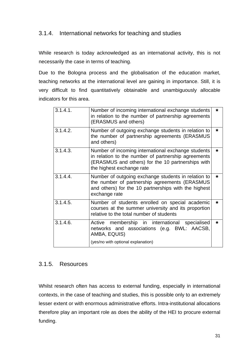#### <span id="page-31-0"></span>3.1.4. International networks for teaching and studies

While research is today acknowledged as an international activity, this is not necessarily the case in terms of teaching.

Due to the Bologna process and the globalisation of the education market, teaching networks at the international level are gaining in importance. Still, it is very difficult to find quantitatively obtainable and unambiguously allocable indicators for this area.

| 3.1.4.1. | Number of incoming international exchange students<br>in relation to the number of partnership agreements<br>(ERASMUS and others)                                                           | * |
|----------|---------------------------------------------------------------------------------------------------------------------------------------------------------------------------------------------|---|
| 3.1.4.2. | Number of outgoing exchange students in relation to<br>the number of partnership agreements (ERASMUS<br>and others)                                                                         | * |
| 3.1.4.3. | Number of incoming international exchange students<br>in relation to the number of partnership agreements<br>(ERASMUS and others) for the 10 partnerships with<br>the highest exchange rate | * |
| 3.1.4.4. | Number of outgoing exchange students in relation to<br>the number of partnership agreements (ERASMUS<br>and others) for the 10 partnerships with the highest<br>exchange rate               | * |
| 3.1.4.5. | Number of students enrolled on special academic<br>courses at the summer university and its proportion<br>relative to the total number of students                                          | * |
| 3.1.4.6. | Active membership in international specialised<br>networks and associations (e.g. BWL: AACSB,<br>AMBA, EQUIS)<br>(yes/no with optional explanation)                                         | * |
|          |                                                                                                                                                                                             |   |

#### 3.1.5. Resources

Whilst research often has access to external funding, especially in international contexts, in the case of teaching and studies, this is possible only to an extremely lesser extent or with enormous administrative efforts. Intra-institutional allocations therefore play an important role as does the ability of the HEI to procure external funding.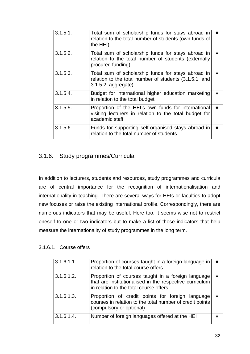<span id="page-32-0"></span>

| $3.1.5.1$ . | Total sum of scholarship funds for stays abroad in<br>relation to the total number of students (own funds of<br>the HEI)              | *       |
|-------------|---------------------------------------------------------------------------------------------------------------------------------------|---------|
| 3.1.5.2.    | Total sum of scholarship funds for stays abroad in<br>relation to the total number of students (externally<br>procured funding)       | *       |
| 3.1.5.3.    | Total sum of scholarship funds for stays abroad in<br>relation to the total number of students (3.1.5.1. and<br>$3.1.5.2.$ aggregate) | *       |
| $3.1.5.4$ . | Budget for international higher education marketing<br>in relation to the total budget                                                | $\star$ |
| 3.1.5.5.    | Proportion of the HEI's own funds for international<br>visiting lecturers in relation to the total budget for<br>academic staff       | *       |
| 3.1.5.6.    | Funds for supporting self-organised stays abroad in<br>relation to the total number of students                                       | *       |

#### 3.1.6. Study programmes/Curricula

In addition to lecturers, students and resources, study programmes and curricula are of central importance for the recognition of internationalisation and internationality in teaching. There are several ways for HEIs or faculties to adopt new focuses or raise the existing international profile. Correspondingly, there are numerous indicators that may be useful. Here too, it seems wise not to restrict oneself to one or two indicators but to make a list of those indicators that help measure the internationality of study programmes in the long term.

#### 3.1.6.1. Course offers

| 3.1.6.1.1. | Proportion of courses taught in a foreign language in<br>relation to the total course offers                                                            | ∗       |
|------------|---------------------------------------------------------------------------------------------------------------------------------------------------------|---------|
| 3.1.6.1.2. | Proportion of courses taught in a foreign language<br>that are institutionalised in the respective curriculum<br>in relation to the total course offers | $\star$ |
| 3.1.6.1.3. | Proportion of credit points for foreign language<br>courses in relation to the total number of credit points<br>(compulsory or optional)                | ∗       |
| 3.1.6.1.4. | Number of foreign languages offered at the HEI                                                                                                          | ∗       |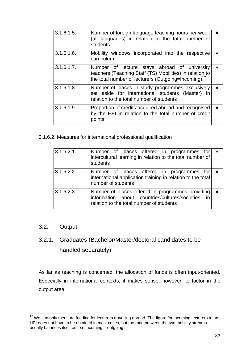<span id="page-33-0"></span>

| 3.1.6.1.5. | Number of foreign language teaching hours per week<br>(all languages) in relation to the total number of<br>students                                                        | *       |
|------------|-----------------------------------------------------------------------------------------------------------------------------------------------------------------------------|---------|
| 3.1.6.1.6. | Mobility windows incorporated into the respective<br>curriculum                                                                                                             | $\star$ |
| 3.1.6.1.7. | Number of lecture stays abroad of university<br>teachers (Teaching Staff (TS) Mobilities) in relation to<br>the total number of lecturers (Outgoing=Incoming) <sup>12</sup> | $\star$ |
| 3.1.6.1.8. | Number of places in study programmes exclusively<br>set aside for international students (Master) in<br>relation to the total number of students                            | $\star$ |
| 3.1.6.1.9. | Proportion of credits acquired abroad and recognised<br>by the HEI in relation to the total number of credit<br>points                                                      | $\star$ |

3.1.6.2. Measures for international professional qualification

| 3.1.6.2.1. | Number of places offered in programmes for<br>intercultural learning in relation to the total number of<br>students                               | $\star$ |
|------------|---------------------------------------------------------------------------------------------------------------------------------------------------|---------|
| 3.1.6.2.2. | Number of places offered in programmes for<br>international application training in relation to the total<br>number of students                   | ∗       |
| 3.1.6.2.3. | Number of places offered in programmes providing<br>information about countries/cultures/societies in<br>relation to the total number of students | $\star$ |

#### 3.2. Output

 $\overline{a}$ 

# 3.2.1. Graduates (Bachelor/Master/doctoral candidates to be handled separately)

As far as teaching is concerned, the allocation of funds is often input-oriented. Especially in international contexts, it makes sense, however, to factor in the output area.

<span id="page-33-1"></span> $12$  We can only measure funding for lecturers travelling abroad. The figure for incoming lecturers to an HEI does not have to be obtained in most cases, but the ratio between the two mobility streams usually balances itself out, so incoming = outgoing.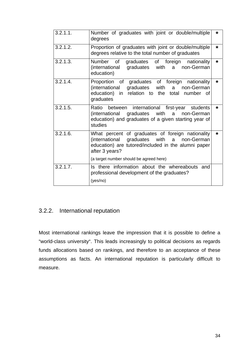<span id="page-34-0"></span>

| 3.2.1.1. | Number of graduates with joint or double/multiple<br>degrees                                                                                                            | *       |
|----------|-------------------------------------------------------------------------------------------------------------------------------------------------------------------------|---------|
| 3.2.1.2. | Proportion of graduates with joint or double/multiple<br>degrees relative to the total number of graduates                                                              | *       |
| 3.2.1.3. | Number of graduates of foreign<br>nationality<br>(international graduates with a non-German<br>education)                                                               | $\star$ |
| 3.2.1.4. | Proportion of graduates of foreign nationality<br>(international graduates<br>non-German<br>with<br>a a<br>education) in relation to the total number of<br>graduates   | *       |
| 3.2.1.5. | Ratio between international first-year students<br>non-German<br>(international graduates with a<br>education) and graduates of a given starting year of<br>studies     | *       |
| 3.2.1.6. | What percent of graduates of foreign nationality<br>(international graduates with a non-German<br>education) are tutored/included in the alumni paper<br>after 3 years? | *       |
|          | (a target number should be agreed here)                                                                                                                                 |         |
| 3.2.1.7. | Is there information about the whereabouts and<br>professional development of the graduates?<br>(yes/no)                                                                |         |

#### 3.2.2. International reputation

Most international rankings leave the impression that it is possible to define a "world-class university". This leads increasingly to political decisions as regards funds allocations based on rankings, and therefore to an acceptance of these assumptions as facts. An international reputation is particularly difficult to measure.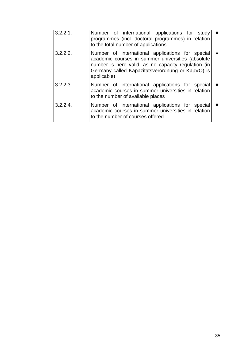| 3.2.2.1  | Number of international applications for study<br>programmes (incl. doctoral programmes) in relation<br>to the total number of applications                                                                                     | *       |
|----------|---------------------------------------------------------------------------------------------------------------------------------------------------------------------------------------------------------------------------------|---------|
| 3.2.2.2. | Number of international applications for special<br>academic courses in summer universities (absolute<br>number is here valid, as no capacity regulation (in<br>Germany called Kapazitätsverordnung or KapVO) is<br>applicable) | *       |
| 3.2.2.3. | Number of international applications for special<br>academic courses in summer universities in relation<br>to the number of available places                                                                                    | *       |
| 3.2.2.4  | Number of international applications for special<br>academic courses in summer universities in relation<br>to the number of courses offered                                                                                     | $\star$ |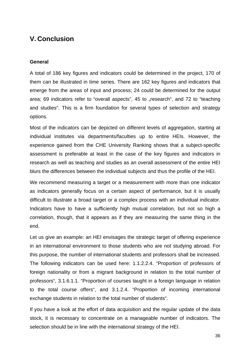## <span id="page-36-0"></span>**V. Conclusion**

#### **General**

A total of 186 key figures and indicators could be determined in the project, 170 of them can be illustrated in time series. There are 162 key figures and indicators that emerge from the areas of input and process; 24 could be determined for the output area; 69 indicators refer to "overall aspects", 45 to "research", and 72 to "teaching and studies". This is a firm foundation for several types of selection and strategy options.

Most of the indicators can be depicted on different levels of aggregation, starting at individual institutes via departments/faculties up to entire HEIs. However, the experience gained from the CHE University Ranking shows that a subject-specific assessment is preferable at least in the case of the key figures and indicators in research as well as teaching and studies as an overall assessment of the entire HEI blurs the differences between the individual subjects and thus the profile of the HEI.

We recommend measuring a target or a measurement with more than one indicator as indicators generally focus on a certain aspect of performance, but it is usually difficult to illustrate a broad target or a complex process with an individual indicator. Indicators have to have a sufficiently high mutual correlation, but not so high a correlation, though, that it appears as if they are measuring the same thing in the end.

Let us give an example: an HEI envisages the strategic target of offering experience in an international environment to those students who are not studying abroad. For this purpose, the number of international students and professors shall be increased. The following indicators can be used here: 1.1.2.2.4. "Proportion of professors of foreign nationality or from a migrant background in relation to the total number of professors", 3.1.6.1.1. "Proportion of courses taught in a foreign language in relation to the total course offers", and 3.1.2.4. "Proportion of incoming international exchange students in relation to the total number of students".

If you have a look at the effort of data acquisition and the regular update of the data stock, it is necessary to concentrate on a manageable number of indicators. The selection should be in line with the international strategy of the HEI.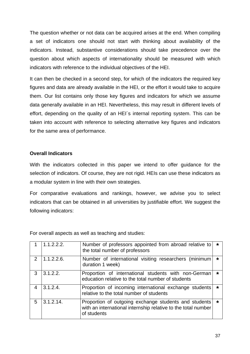The question whether or not data can be acquired arises at the end. When compiling a set of indicators one should not start with thinking about availability of the indicators. Instead, substantive considerations should take precedence over the question about which aspects of internationality should be measured with which indicators with reference to the individual objectives of the HEI.

It can then be checked in a second step, for which of the indicators the required key figures and data are already available in the HEI, or the effort it would take to acquire them. Our list contains only those key figures and indicators for which we assume data generally available in an HEI. Nevertheless, this may result in different levels of effort, depending on the quality of an HEI´s internal reporting system. This can be taken into account with reference to selecting alternative key figures and indicators for the same area of performance.

#### **Overall Indicators**

With the indicators collected in this paper we intend to offer guidance for the selection of indicators. Of course, they are not rigid. HEIs can use these indicators as a modular system in line with their own strategies.

For comparative evaluations and rankings, however, we advise you to select indicators that can be obtained in all universities by justifiable effort. We suggest the following indicators:

For overall aspects as well as teaching and studies:

|               | 1.1.2.2.2.   | Number of professors appointed from abroad relative to<br>the total number of professors                                              | $\star$ |
|---------------|--------------|---------------------------------------------------------------------------------------------------------------------------------------|---------|
| $\mathcal{P}$ | 1.1.2.2.6.   | Number of international visiting researchers (minimum<br>duration 1 week)                                                             | $\star$ |
| 3             | 3.1.2.2.     | Proportion of international students with non-German<br>education relative to the total number of students                            | $\star$ |
| 4             | 3.1.2.4      | Proportion of incoming international exchange students<br>relative to the total number of students                                    | ∗       |
| 5             | $3.1.2.14$ . | Proportion of outgoing exchange students and students<br>with an international internship relative to the total number<br>of students | $\star$ |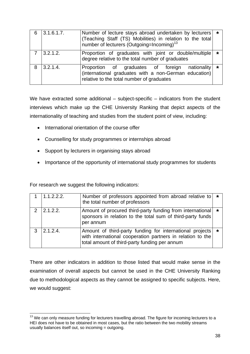|   | 3.1.6.1.7.  | Number of lecture stays abroad undertaken by lecturers   *<br>(Teaching Staff (TS) Mobilities) in relation to the total<br>number of lecturers (Outgoing=Incoming) <sup>13</sup> |         |
|---|-------------|----------------------------------------------------------------------------------------------------------------------------------------------------------------------------------|---------|
|   | 3.2.1.2.    | Proportion of graduates with joint or double/multiple<br>degree relative to the total number of graduates                                                                        | $\star$ |
| 8 | $3.2.1.4$ . | Proportion of graduates of foreign nationality<br>(international graduates with a non-German education)<br>relative to the total number of graduates                             | $\star$ |

We have extracted some additional – subject-specific – indicators from the student interviews which make up the CHE University Ranking that depict aspects of the internationality of teaching and studies from the student point of view, including:

- International orientation of the course offer
- Counselling for study programmes or internships abroad
- Support by lecturers in organising stays abroad
- Importance of the opportunity of international study programmes for students

For research we suggest the following indicators:

 $\overline{a}$ 

|               | 1.1.2.2.2. | Number of professors appointed from abroad relative to $\star$<br>the total number of professors                                                                            |  |
|---------------|------------|-----------------------------------------------------------------------------------------------------------------------------------------------------------------------------|--|
| $\mathcal{P}$ | 2.1.2.2.   | Amount of procured third-party funding from international   *<br>sponsors in relation to the total sum of third-party funds<br>per annum                                    |  |
| 3             | 2.1.2.4    | Amount of third-party funding for international projects   *<br>with international cooperation partners in relation to the<br>total amount of third-party funding per annum |  |

There are other indicators in addition to those listed that would make sense in the examination of overall aspects but cannot be used in the CHE University Ranking due to methodological aspects as they cannot be assigned to specific subjects. Here, we would suggest:

<span id="page-38-0"></span><sup>&</sup>lt;sup>13</sup> We can only measure funding for lecturers travelling abroad. The figure for incoming lecturers to a HEI does not have to be obtained in most cases, but the ratio between the two mobility streams usually balances itself out, so incoming = outgoing.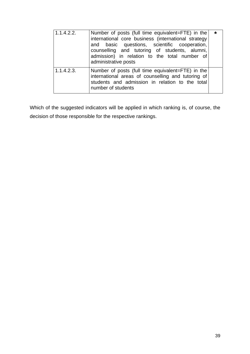| 1.1.4.2.2. | Number of posts (full time equivalent=FTE) in the<br>international core business (international strategy<br>and basic questions, scientific cooperation,<br>counselling and tutoring of students, alumni,<br>admission) in relation to the total number of<br>administrative posts | $\star$ |
|------------|------------------------------------------------------------------------------------------------------------------------------------------------------------------------------------------------------------------------------------------------------------------------------------|---------|
| 1.1.4.2.3. | Number of posts (full time equivalent=FTE) in the<br>international areas of counselling and tutoring of<br>students and admission in relation to the total<br>number of students                                                                                                   |         |

Which of the suggested indicators will be applied in which ranking is, of course, the decision of those responsible for the respective rankings.